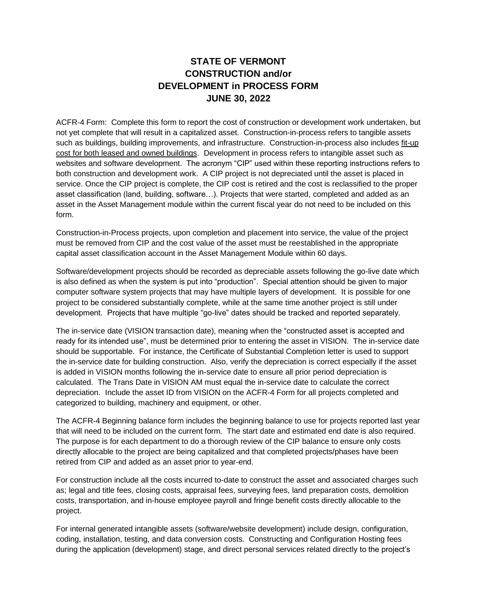## **STATE OF VERMONT CONSTRUCTION and/or DEVELOPMENT in PROCESS FORM JUNE 30, 2022**

ACFR-4 Form: Complete this form to report the cost of construction or development work undertaken, but not yet complete that will result in a capitalized asset. Construction-in-process refers to tangible assets such as buildings, building improvements, and infrastructure. Construction-in-process also includes fit-up cost for both leased and owned buildings. Development in process refers to intangible asset such as websites and software development. The acronym "CIP" used within these reporting instructions refers to both construction and development work. A CIP project is not depreciated until the asset is placed in service. Once the CIP project is complete, the CIP cost is retired and the cost is reclassified to the proper asset classification (land, building, software…). Projects that were started, completed and added as an asset in the Asset Management module within the current fiscal year do not need to be included on this form.

Construction-in-Process projects, upon completion and placement into service, the value of the project must be removed from CIP and the cost value of the asset must be reestablished in the appropriate capital asset classification account in the Asset Management Module within 60 days.

Software/development projects should be recorded as depreciable assets following the go-live date which is also defined as when the system is put into "production". Special attention should be given to major computer software system projects that may have multiple layers of development. It is possible for one project to be considered substantially complete, while at the same time another project is still under development. Projects that have multiple "go-live" dates should be tracked and reported separately.

The in-service date (VISION transaction date), meaning when the "constructed asset is accepted and ready for its intended use", must be determined prior to entering the asset in VISION. The in-service date should be supportable. For instance, the Certificate of Substantial Completion letter is used to support the in-service date for building construction. Also, verify the depreciation is correct especially if the asset is added in VISION months following the in-service date to ensure all prior period depreciation is calculated. The Trans Date in VISION AM must equal the in-service date to calculate the correct depreciation. Include the asset ID from VISION on the ACFR-4 Form for all projects completed and categorized to building, machinery and equipment, or other.

The ACFR-4 Beginning balance form includes the beginning balance to use for projects reported last year that will need to be included on the current form. The start date and estimated end date is also required. The purpose is for each department to do a thorough review of the CIP balance to ensure only costs directly allocable to the project are being capitalized and that completed projects/phases have been retired from CIP and added as an asset prior to year-end.

For construction include all the costs incurred to-date to construct the asset and associated charges such as; legal and title fees, closing costs, appraisal fees, surveying fees, land preparation costs, demolition costs, transportation, and in-house employee payroll and fringe benefit costs directly allocable to the project.

For internal generated intangible assets (software/website development) include design, configuration, coding, installation, testing, and data conversion costs. Constructing and Configuration Hosting fees during the application (development) stage, and direct personal services related directly to the project's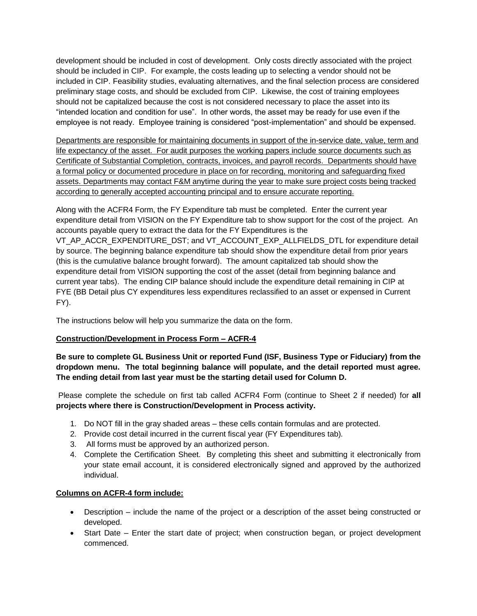development should be included in cost of development. Only costs directly associated with the project should be included in CIP. For example, the costs leading up to selecting a vendor should not be included in CIP. Feasibility studies, evaluating alternatives, and the final selection process are considered preliminary stage costs, and should be excluded from CIP. Likewise, the cost of training employees should not be capitalized because the cost is not considered necessary to place the asset into its "intended location and condition for use". In other words, the asset may be ready for use even if the employee is not ready. Employee training is considered "post-implementation" and should be expensed.

Departments are responsible for maintaining documents in support of the in-service date, value, term and life expectancy of the asset. For audit purposes the working papers include source documents such as Certificate of Substantial Completion, contracts, invoices, and payroll records. Departments should have a formal policy or documented procedure in place on for recording, monitoring and safeguarding fixed assets. Departments may contact F&M anytime during the year to make sure project costs being tracked according to generally accepted accounting principal and to ensure accurate reporting.

Along with the ACFR4 Form, the FY Expenditure tab must be completed. Enter the current year expenditure detail from VISION on the FY Expenditure tab to show support for the cost of the project. An accounts payable query to extract the data for the FY Expenditures is the VT\_AP\_ACCR\_EXPENDITURE\_DST; and VT\_ACCOUNT\_EXP\_ALLFIELDS\_DTL for expenditure detail by source. The beginning balance expenditure tab should show the expenditure detail from prior years (this is the cumulative balance brought forward). The amount capitalized tab should show the expenditure detail from VISION supporting the cost of the asset (detail from beginning balance and current year tabs). The ending CIP balance should include the expenditure detail remaining in CIP at FYE (BB Detail plus CY expenditures less expenditures reclassified to an asset or expensed in Current FY).

The instructions below will help you summarize the data on the form.

## **Construction/Development in Process Form – ACFR-4**

**Be sure to complete GL Business Unit or reported Fund (ISF, Business Type or Fiduciary) from the dropdown menu. The total beginning balance will populate, and the detail reported must agree. The ending detail from last year must be the starting detail used for Column D.**

Please complete the schedule on first tab called ACFR4 Form (continue to Sheet 2 if needed) for **all projects where there is Construction/Development in Process activity.**

- 1. Do NOT fill in the gray shaded areas these cells contain formulas and are protected.
- 2. Provide cost detail incurred in the current fiscal year (FY Expenditures tab).
- 3. All forms must be approved by an authorized person.
- 4. Complete the Certification Sheet. By completing this sheet and submitting it electronically from your state email account, it is considered electronically signed and approved by the authorized individual.

## **Columns on ACFR-4 form include:**

- Description include the name of the project or a description of the asset being constructed or developed.
- Start Date Enter the start date of project; when construction began, or project development commenced.